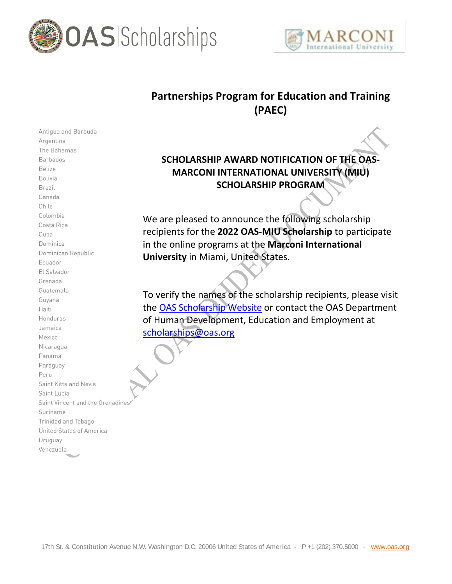



## **Partnerships Program for Education and Training (PAEC)**

## **SCHOLARSHIP AWARD NOTIFICATION OF THE OAS-MARCONI INTERNATIONAL UNIVERSITY (MIU) SCHOLARSHIP PROGRAM**

We are pleased to announce the following scholarship recipients for the **2022 OAS-MIU Scholarship** to participate in the online programs at the **Marconi International University** in Miami, United States.

To verify the names of the scholarship recipients, please visit the [OAS Scholarship Website](http://www.oas.org/en/scholarships/default.asp) or contact the OAS Department of Human Development, Education and Employment at scholarships@oas.org

Argentina The Bahamas Barbados Belize Bolivia Brazil Canada Chile Colombia Costa Rica Cuba Dominica Dominican Republic Ecuador El Salvador Grenada Guatemala Guyana Haiti Honduras Jamaica Mexico Nicaragua Panama Paraguay Peru Saint Kitts and Nevis Saint Lucia Saint Vincent and the Grenadines Suriname Trinidad and Tobago United States of America Uruguay Venezuela

Antigua and Barbuda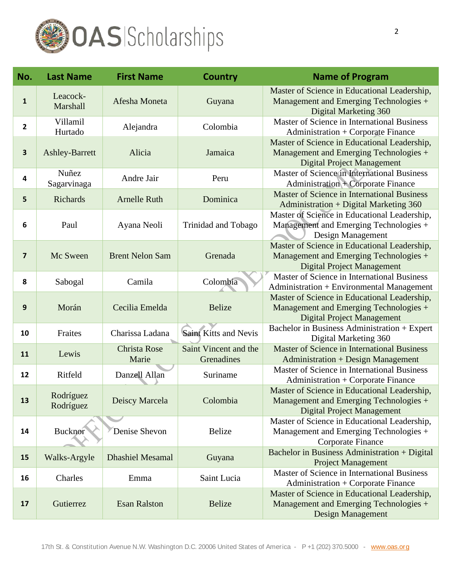

| No.                     | <b>Last Name</b>       | <b>First Name</b>            | <b>Country</b>                      | <b>Name of Program</b>                                                                                                      |
|-------------------------|------------------------|------------------------------|-------------------------------------|-----------------------------------------------------------------------------------------------------------------------------|
| $\mathbf{1}$            | Leacock-<br>Marshall   | Afesha Moneta                | Guyana                              | Master of Science in Educational Leadership,<br>Management and Emerging Technologies +<br>Digital Marketing 360             |
| $\overline{\mathbf{c}}$ | Villamil<br>Hurtado    | Alejandra                    | Colombia                            | Master of Science in International Business<br>Administration + Corporate Finance                                           |
| $\overline{\mathbf{3}}$ | <b>Ashley-Barrett</b>  | Alicia                       | Jamaica                             | Master of Science in Educational Leadership,<br>Management and Emerging Technologies +<br><b>Digital Project Management</b> |
| 4                       | Nuñez<br>Sagarvinaga   | Andre Jair                   | Peru                                | Master of Science in International Business<br><b>Administration + Corporate Finance</b>                                    |
| 5                       | Richards               | <b>Arnelle Ruth</b>          | Dominica                            | Master of Science in International Business<br>Administration + Digital Marketing 360                                       |
| 6                       | Paul                   | Ayana Neoli                  | Trinidad and Tobago                 | Master of Science in Educational Leadership,<br>Management and Emerging Technologies +<br>Design Management                 |
| $\overline{\mathbf{z}}$ | Mc Sween               | <b>Brent Nelon Sam</b>       | Grenada                             | Master of Science in Educational Leadership,<br>Management and Emerging Technologies +<br><b>Digital Project Management</b> |
| 8                       | Sabogal                | Camila                       | Colombia                            | Master of Science in International Business<br>Administration + Environmental Management                                    |
| 9                       | Morán                  | Cecilia Emelda               | <b>Belize</b>                       | Master of Science in Educational Leadership,<br>Management and Emerging Technologies +<br><b>Digital Project Management</b> |
| 10                      | Fraites                | Charissa Ladana              | <b>Saint Kitts and Nevis</b>        | Bachelor in Business Administration + Expert<br>Digital Marketing 360                                                       |
| 11                      | Lewis                  | <b>Christa Rose</b><br>Marie | Saint Vincent and the<br>Grenadines | <b>Master of Science in International Business</b><br><b>Administration + Design Management</b>                             |
| 12                      | Ritfeld                | Danzell Allan                | Suriname                            | Master of Science in International Business<br>Administration + Corporate Finance                                           |
| 13                      | Rodríguez<br>Rodríguez | Deiscy Marcela               | Colombia                            | Master of Science in Educational Leadership,<br>Management and Emerging Technologies +<br><b>Digital Project Management</b> |
| 14                      | Bucknor                | Denise Shevon                | <b>Belize</b>                       | Master of Science in Educational Leadership,<br>Management and Emerging Technologies +<br>Corporate Finance                 |
| 15                      | Walks-Argyle           | <b>Dhashiel Mesamal</b>      | Guyana                              | Bachelor in Business Administration + Digital<br><b>Project Management</b>                                                  |
| 16                      | Charles                | Emma                         | Saint Lucia                         | Master of Science in International Business<br>Administration + Corporate Finance                                           |
| 17                      | Gutierrez              | <b>Esan Ralston</b>          | <b>Belize</b>                       | Master of Science in Educational Leadership,<br>Management and Emerging Technologies +<br>Design Management                 |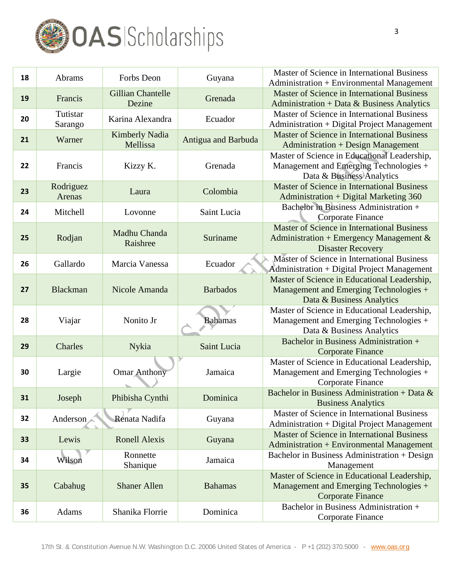

| 18 | Abrams              | Forbs Deon                         | Guyana              | Master of Science in International Business<br>Administration + Environmental Management                              |
|----|---------------------|------------------------------------|---------------------|-----------------------------------------------------------------------------------------------------------------------|
| 19 | Francis             | <b>Gillian Chantelle</b><br>Dezine | Grenada             | <b>Master of Science in International Business</b><br>Administration + Data & Business Analytics                      |
| 20 | Tutistar<br>Sarango | Karina Alexandra                   | Ecuador             | Master of Science in International Business<br>Administration + Digital Project Management                            |
| 21 | Warner              | <b>Kimberly Nadia</b><br>Mellissa  | Antigua and Barbuda | Master of Science in International Business<br><b>Administration + Design Management</b>                              |
| 22 | Francis             | Kizzy K.                           | Grenada             | Master of Science in Educational Leadership,<br>Management and Emerging Technologies +<br>Data & Business Analytics   |
| 23 | Rodriguez<br>Arenas | Laura                              | Colombia            | Master of Science in International Business<br><b>Administration + Digital Marketing 360</b>                          |
| 24 | Mitchell            | Lovonne                            | Saint Lucia         | Bachelor in Business Administration +<br>Corporate Finance                                                            |
| 25 | Rodjan              | Madhu Chanda<br>Raishree           | Suriname            | Master of Science in International Business<br>Administration + Emergency Management $\&$<br><b>Disaster Recovery</b> |
| 26 | Gallardo            | Marcia Vanessa                     | Ecuador             | Master of Science in International Business<br>Administration + Digital Project Management                            |
| 27 | <b>Blackman</b>     | Nicole Amanda                      | <b>Barbados</b>     | Master of Science in Educational Leadership,<br>Management and Emerging Technologies +<br>Data & Business Analytics   |
| 28 | Viajar              | Nonito Jr                          | <b>Bahamas</b>      | Master of Science in Educational Leadership,<br>Management and Emerging Technologies +<br>Data & Business Analytics   |
| 29 | Charles             | Nykia                              | Saint Lucia         | Bachelor in Business Administration +<br><b>Corporate Finance</b>                                                     |
| 30 | Largie              | <b>Omar Anthony</b>                | Jamaica             | Master of Science in Educational Leadership,<br>Management and Emerging Technologies +<br>Corporate Finance           |
| 31 | Joseph              | Phibisha Cynthi                    | Dominica            | Bachelor in Business Administration + Data $\&$<br><b>Business Analytics</b>                                          |
| 32 | Anderson            | Renata Nadifa                      | Guyana              | Master of Science in International Business<br>Administration + Digital Project Management                            |
| 33 | Lewis               | <b>Ronell Alexis</b>               | Guyana              | Master of Science in International Business<br><b>Administration + Environmental Management</b>                       |
| 34 | Wilson              | Ronnette<br>Shanique               | Jamaica             | Bachelor in Business Administration + Design<br>Management                                                            |
| 35 | Cabahug             | <b>Shaner Allen</b>                | <b>Bahamas</b>      | Master of Science in Educational Leadership,<br>Management and Emerging Technologies +<br><b>Corporate Finance</b>    |
| 36 | Adams               | Shanika Florrie                    | Dominica            | Bachelor in Business Administration +<br>Corporate Finance                                                            |